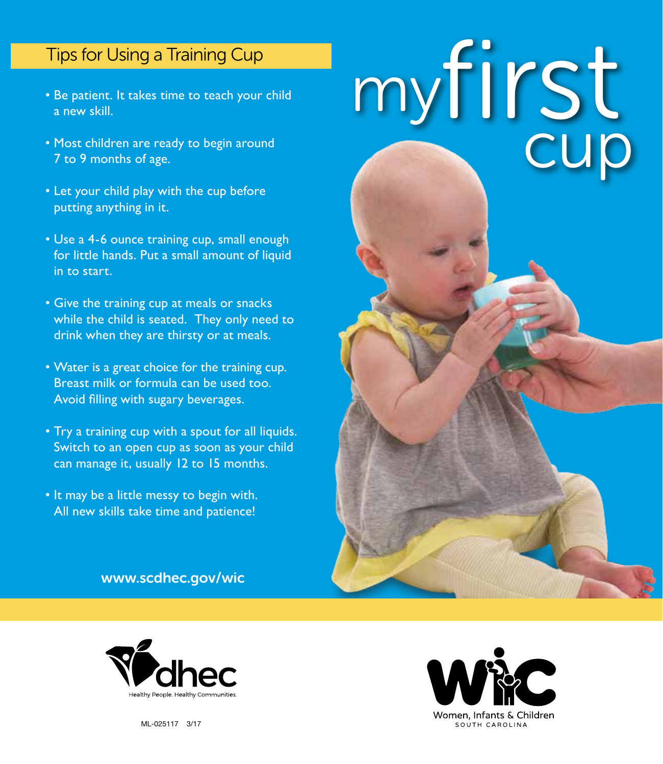## Tips for Using a Training Cup

- Be patient. It takes time to teach your child a new skill.
- Most children are ready to begin around 7 to 9 months of age.
- Let your child play with the cup before putting anything in it.
- Use a 4-6 ounce training cup, small enough for little hands. Put a small amount of liquid in to start.
- Give the training cup at meals or snacks while the child is seated. They only need to drink when they are thirsty or at meals.
- Water is a great choice for the training cup. Breast milk or formula can be used too. Avoid filling with sugary beverages.
- Try a training cup with a spout for all liquids. Switch to an open cup as soon as your child can manage it, usually 12 to 15 months.
- It may be a little messy to begin with. All new skills take time and patience!

www.scdhec.gov/wic





ML-025117 3/17